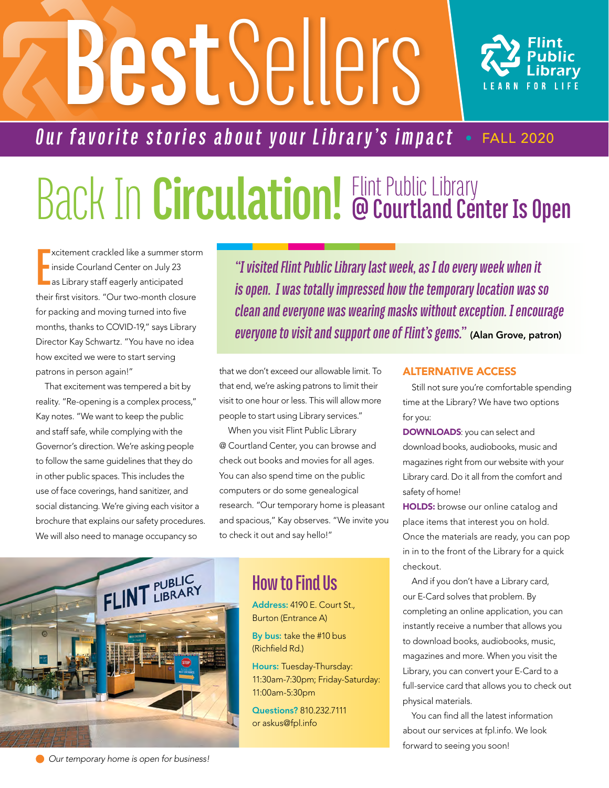# **Best** Sellers



### *Our favorite stories about your Library's impact* • FALL 2020

## Back In **Circulation!** Flint Public Library **@ Courtland Center Is Open**

**E** xcitement crackled like a summer storm inside Courland Center on July 23 as Library staff eagerly anticipated their first visitors. "Our two-month closure for packing and moving turned into five months, thanks to COVID-19," says Library Director Kay Schwartz. "You have no idea how excited we were to start serving patrons in person again!"

That excitement was tempered a bit by reality. "Re-opening is a complex process," Kay notes. "We want to keep the public and staff safe, while complying with the Governor's direction. We're asking people to follow the same guidelines that they do in other public spaces. This includes the use of face coverings, hand sanitizer, and social distancing. We're giving each visitor a brochure that explains our safety procedures. We will also need to manage occupancy so

*"I visited Flint Public Library last week, as I do every week when it is open. I was totally impressed how the temporary location was so clean and everyone was wearing masks withoutexception. I encourage everyone to visit and support one of Flint's gems."* (Alan Grove, patron)

that we don't exceed our allowable limit. To that end, we're asking patrons to limit their visit to one hour or less. This will allow more people to start using Library services."

When you visit Flint Public Library @ Courtland Center, you can browse and check out books and movies for all ages. You can also spend time on the public computers or do some genealogical research. "Our temporary home is pleasant and spacious," Kay observes. "We invite you to check it out and say hello!"



#### **How to Find Us**

Address: 4190 E. Court St., Burton (Entrance A)

By bus: take the #10 bus (Richfield Rd.)

Hours: Tuesday-Thursday: 11:30am-7:30pm; Friday-Saturday: 11:00am-5:30pm

Questions? 810.232.7111 or askus@fpl.info

#### ALTERNATIVE ACCESS

Still not sure you're comfortable spending time at the Library? We have two options for you:

DOWNLOADS: you can select and download books, audiobooks, music and magazines right from our website with your Library card. Do it all from the comfort and safety of home!

**HOLDS:** browse our online catalog and place items that interest you on hold. Once the materials are ready, you can pop in in to the front of the Library for a quick checkout.

And if you don't have a Library card, our E-Card solves that problem. By completing an online application, you can instantly receive a number that allows you to download books, audiobooks, music, magazines and more. When you visit the Library, you can convert your E-Card to a full-service card that allows you to check out physical materials.

You can find all the latest information about our services at fpl.info. We look forward to seeing you soon!

 *Our temporary home is open for business!*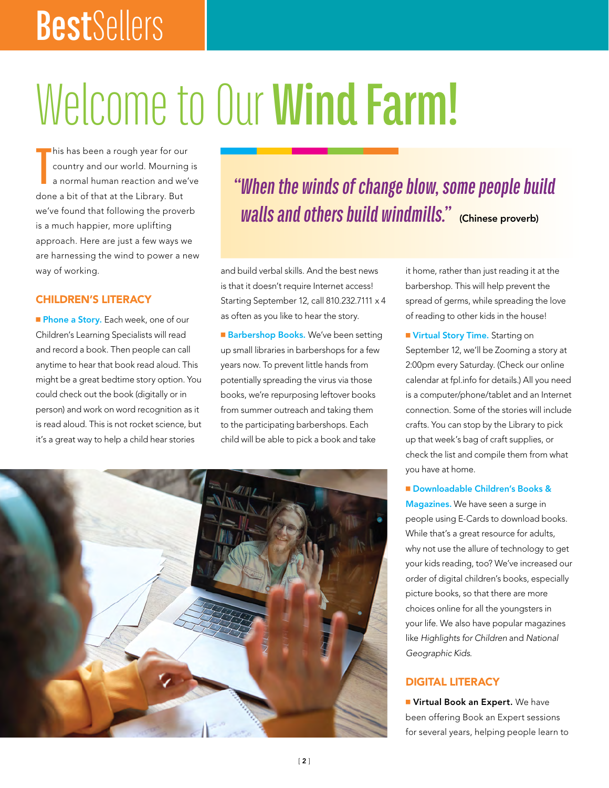# **Best**Sellers

# Welcome to Our **Wind Farm!**

**T** his has been a rough year for our country and our world. Mourning is a normal human reaction and we've done a bit of that at the Library. But we've found that following the proverb is a much happier, more uplifting approach. Here are just a few ways we are harnessing the wind to power a new way of working.

#### CHILDREN'S LITERACY

Phone a Story. Each week, one of our Children's Learning Specialists will read and record a book. Then people can call anytime to hear that book read aloud. This might be a great bedtime story option. You could check out the book (digitally or in person) and work on word recognition as it is read aloud. This is not rocket science, but it's a great way to help a child hear stories

### *"When the winds of change blow, some people build Walls and others build windmills." (Chinese proverb)*

and build verbal skills. And the best news is that it doesn't require Internet access! Starting September 12, call 810.232.7111 x 4 as often as you like to hear the story.

Barbershop Books. We've been setting up small libraries in barbershops for a few years now. To prevent little hands from potentially spreading the virus via those books, we're repurposing leftover books from summer outreach and taking them to the participating barbershops. Each child will be able to pick a book and take

it home, rather than just reading it at the barbershop. This will help prevent the spread of germs, while spreading the love of reading to other kids in the house!

Virtual Story Time. Starting on September 12, we'll be Zooming a story at 2:00pm every Saturday. (Check our online calendar at fpl.info for details.) All you need is a computer/phone/tablet and an Internet connection. Some of the stories will include crafts. You can stop by the Library to pick up that week's bag of craft supplies, or check the list and compile them from what you have at home.

Downloadable Children's Books & Magazines. We have seen a surge in people using E-Cards to download books. While that's a great resource for adults, why not use the allure of technology to get your kids reading, too? We've increased our order of digital children's books, especially picture books, so that there are more choices online for all the youngsters in your life. We also have popular magazines like *Highlights for Children* and *National Geographic Kids*.

#### DIGITAL LITERACY

**Number 1 Virtual Book an Expert.** We have been offering Book an Expert sessions for several years, helping people learn to

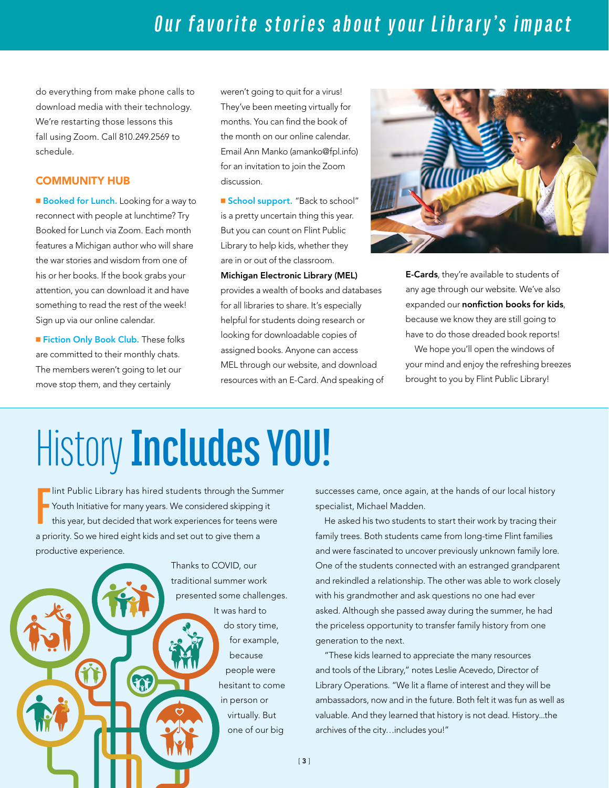do everything from make phone calls to download media with their technology. We're restarting those lessons this fall using Zoom. Call 810.249.2569 to schedule.

#### COMMUNITY HUB

Booked for Lunch. Looking for a way to reconnect with people at lunchtime? Try Booked for Lunch via Zoom. Each month features a Michigan author who will share the war stories and wisdom from one of his or her books. If the book grabs your attention, you can download it and have something to read the rest of the week! Sign up via our online calendar.

Fiction Only Book Club. These folks are committed to their monthly chats. The members weren't going to let our move stop them, and they certainly

weren't going to quit for a virus! They've been meeting virtually for months. You can find the book of the month on our online calendar. Email Ann Manko (amanko@fpl.info) for an invitation to join the Zoom discussion.

**School support.** "Back to school" is a pretty uncertain thing this year. But you can count on Flint Public Library to help kids, whether they are in or out of the classroom.

Michigan Electronic Library (MEL) provides a wealth of books and databases for all libraries to share. It's especially helpful for students doing research or looking for downloadable copies of assigned books. Anyone can access MEL through our website, and download resources with an E-Card. And speaking of



**E-Cards**, they're available to students of any age through our website. We've also expanded our nonfiction books for kids, because we know they are still going to have to do those dreaded book reports!

We hope you'll open the windows of your mind and enjoy the refreshing breezes brought to you by Flint Public Library!

# History **Includes YOU!**

**F** Int Public Library has hired students through the Summer Youth Initiative for many years. We considered skipping it this year, but decided that work experiences for teens were a priority. So we hired eight kids and set out to give them a productive experience.

> Thanks to COVID, our traditional summer work presented some challenges. It was hard to do story time, for example, because people were SQE hesitant to come in person or virtually. But one of our big

successes came, once again, at the hands of our local history specialist, Michael Madden.

He asked his two students to start their work by tracing their family trees. Both students came from long-time Flint families and were fascinated to uncover previously unknown family lore. One of the students connected with an estranged grandparent and rekindled a relationship. The other was able to work closely with his grandmother and ask questions no one had ever asked. Although she passed away during the summer, he had the priceless opportunity to transfer family history from one generation to the next.

"These kids learned to appreciate the many resources and tools of the Library," notes Leslie Acevedo, Director of Library Operations. "We lit a flame of interest and they will be ambassadors, now and in the future. Both felt it was fun as well as valuable. And they learned that history is not dead. History...the archives of the city…includes you!"